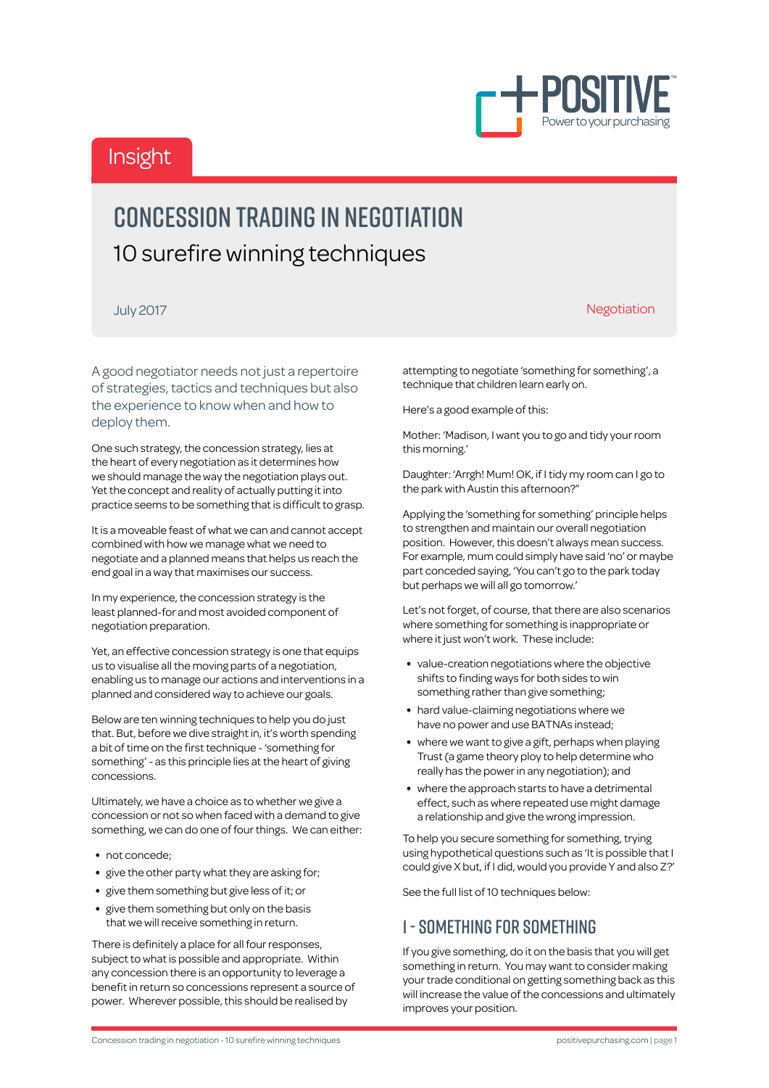

# Insight

# Concession trading in negotiation 10 surefire winning techniques

July 2017 **Negotiation Negotiation Negotiation Negotiation** 

attempting to negotiate 'something for something', a technique that children learn early on.

Here's a good example of this:

Mother: 'Madison, I want you to go and tidy your room this morning.'

Daughter: 'Arrgh! Mum! OK, if I tidy my room can I go to the park with Austin this afternoon?"

Applying the 'something for something' principle helps to strengthen and maintain our overall negotiation position. However, this doesn't always mean success. For example, mum could simply have said 'no' or maybe part conceded saying, 'You can't go to the park today but perhaps we will all go tomorrow.'

Let's not forget, of course, that there are also scenarios where something for something is inappropriate or where it just won't work. These include:

- value-creation negotiations where the objective shifts to finding ways for both sides to win something rather than give something;
- hard value-claiming negotiations where we have no power and use BATNAs instead;
- where we want to give a gift, perhaps when playing Trust (a game theory ploy to help determine who really has the power in any negotiation); and
- where the approach starts to have a detrimental effect, such as where repeated use might damage a relationship and give the wrong impression.

To help you secure something for something, trying using hypothetical questions such as 'It is possible that I could give X but, if I did, would you provide Y and also Z?'

See the full list of 10 techniques below:

#### 1 - Something for Something

If you give something, do it on the basis that you will get something in return. You may want to consider making your trade conditional on getting something back as this will increase the value of the concessions and ultimately improves your position.

A good negotiator needs not just a repertoire of strategies, tactics and techniques but also the experience to know when and how to deploy them.

One such strategy, the concession strategy, lies at the heart of every negotiation as it determines how we should manage the way the negotiation plays out. Yet the concept and reality of actually putting it into practice seems to be something that is difficult to grasp.

It is a moveable feast of what we can and cannot accept combined with how we manage what we need to negotiate and a planned means that helps us reach the end goal in a way that maximises our success.

In my experience, the concession strategy is the least planned-for and most avoided component of negotiation preparation.

Yet, an effective concession strategy is one that equips us to visualise all the moving parts of a negotiation, enabling us to manage our actions and interventions in a planned and considered way to achieve our goals.

Below are ten winning techniques to help you do just that. But, before we dive straight in, it's worth spending a bit of time on the first technique - 'something for something' - as this principle lies at the heart of giving concessions.

Ultimately, we have a choice as to whether we give a concession or not so when faced with a demand to give something, we can do one of four things. We can either:

- not concede;
- give the other party what they are asking for;
- give them something but give less of it; or
- give them something but only on the basis that we will receive something in return.

There is definitely a place for all four responses, subject to what is possible and appropriate. Within any concession there is an opportunity to leverage a benefit in return so concessions represent a source of power. Wherever possible, this should be realised by